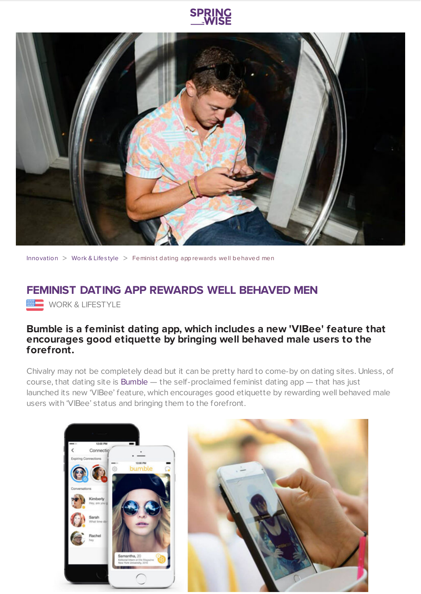



[Innovation](https://www.springwise.com/search?type=innovation)  $>$  [Work](https://www.springwise.com/search?type=innovation§or=work-lifestyle) & Lifestyle  $>$  Feminist dating app rewards well behaved men

## **FEMINIST DATING APP REWARDS WELL BEHAVED MEN**

**WORK & LIFESTYLE** 

## **Bumble is a feminist dating app, which includes a new 'VIBee' feature that encourages good etiquette by bringing well behaved male users to the forefront.**

Chivalry may not be completely dead but it can be pretty hard to come-by on dating sites. Unless, of course, that dating site is [Bumble](https://bumble.com/) — the self-proclaimed feminist dating app — that has just launched its new 'VIBee' feature, which encourages good etiquette by rewarding well behaved male users with 'VIBee' status and bringing them to the forefront.